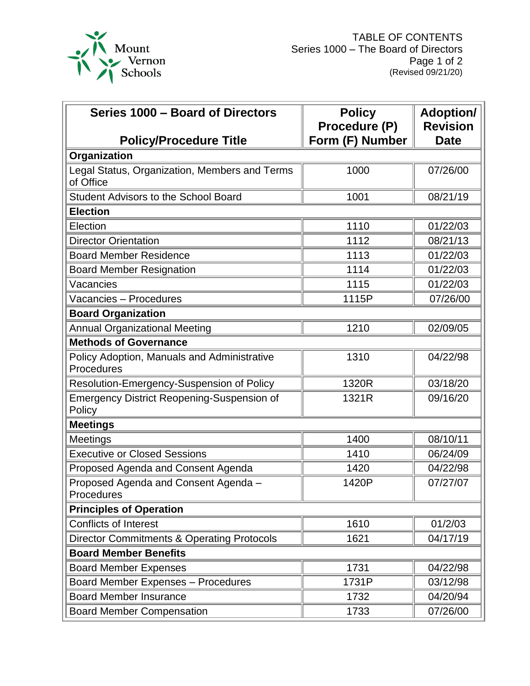

| Series 1000 - Board of Directors                            | <b>Policy</b>   | <b>Adoption/</b> |
|-------------------------------------------------------------|-----------------|------------------|
|                                                             | Procedure (P)   | <b>Revision</b>  |
| <b>Policy/Procedure Title</b>                               | Form (F) Number | <b>Date</b>      |
| Organization                                                |                 |                  |
| Legal Status, Organization, Members and Terms<br>of Office  | 1000            | 07/26/00         |
| <b>Student Advisors to the School Board</b>                 | 1001            | 08/21/19         |
| <b>Election</b>                                             |                 |                  |
| Election                                                    | 1110            | 01/22/03         |
| <b>Director Orientation</b>                                 | 1112            | 08/21/13         |
| <b>Board Member Residence</b>                               | 1113            | 01/22/03         |
| <b>Board Member Resignation</b>                             | 1114            | 01/22/03         |
| Vacancies                                                   | 1115            | 01/22/03         |
| Vacancies - Procedures                                      | 1115P           | 07/26/00         |
| <b>Board Organization</b>                                   |                 |                  |
| <b>Annual Organizational Meeting</b>                        | 1210            | 02/09/05         |
| <b>Methods of Governance</b>                                |                 |                  |
| Policy Adoption, Manuals and Administrative<br>Procedures   | 1310            | 04/22/98         |
| Resolution-Emergency-Suspension of Policy                   | 1320R           | 03/18/20         |
| <b>Emergency District Reopening-Suspension of</b><br>Policy | 1321R           | 09/16/20         |
| <b>Meetings</b>                                             |                 |                  |
| <b>Meetings</b>                                             | 1400            | 08/10/11         |
| <b>Executive or Closed Sessions</b>                         | 1410            | 06/24/09         |
| Proposed Agenda and Consent Agenda                          | 1420            | 04/22/98         |
| Proposed Agenda and Consent Agenda -<br>Procedures          | 1420P           | 07/27/07         |
| <b>Principles of Operation</b>                              |                 |                  |
| Conflicts of Interest                                       | 1610            | 01/2/03          |
| <b>Director Commitments &amp; Operating Protocols</b>       | 1621            | 04/17/19         |
| <b>Board Member Benefits</b>                                |                 |                  |
| <b>Board Member Expenses</b>                                | 1731            | 04/22/98         |
| <b>Board Member Expenses - Procedures</b>                   | 1731P           | 03/12/98         |
| <b>Board Member Insurance</b>                               | 1732            | 04/20/94         |
| <b>Board Member Compensation</b>                            | 1733            | 07/26/00         |